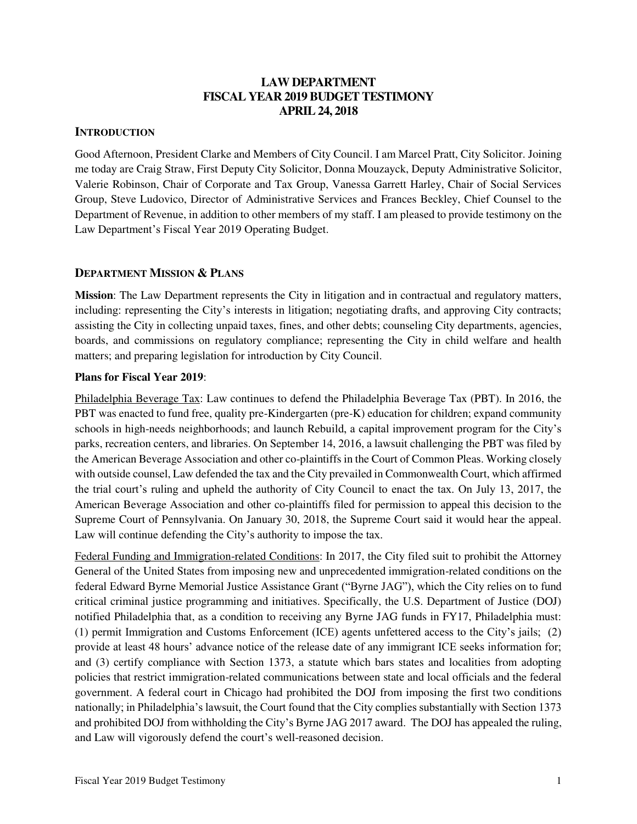# **LAW DEPARTMENT FISCAL YEAR 2019 BUDGET TESTIMONY APRIL 24, 2018**

# **INTRODUCTION**

Good Afternoon, President Clarke and Members of City Council. I am Marcel Pratt, City Solicitor. Joining me today are Craig Straw, First Deputy City Solicitor, Donna Mouzayck, Deputy Administrative Solicitor, Valerie Robinson, Chair of Corporate and Tax Group, Vanessa Garrett Harley, Chair of Social Services Group, Steve Ludovico, Director of Administrative Services and Frances Beckley, Chief Counsel to the Department of Revenue, in addition to other members of my staff. I am pleased to provide testimony on the Law Department's Fiscal Year 2019 Operating Budget.

# **DEPARTMENT MISSION & PLANS**

**Mission**: The Law Department represents the City in litigation and in contractual and regulatory matters, including: representing the City's interests in litigation; negotiating drafts, and approving City contracts; assisting the City in collecting unpaid taxes, fines, and other debts; counseling City departments, agencies, boards, and commissions on regulatory compliance; representing the City in child welfare and health matters; and preparing legislation for introduction by City Council.

### **Plans for Fiscal Year 2019**:

Philadelphia Beverage Tax: Law continues to defend the Philadelphia Beverage Tax (PBT). In 2016, the PBT was enacted to fund free, quality pre-Kindergarten (pre-K) education for children; expand community schools in high-needs neighborhoods; and launch Rebuild, a capital improvement program for the City's parks, recreation centers, and libraries. On September 14, 2016, a lawsuit challenging the PBT was filed by the American Beverage Association and other co-plaintiffs in the Court of Common Pleas. Working closely with outside counsel, Law defended the tax and the City prevailed in Commonwealth Court, which affirmed the trial court's ruling and upheld the authority of City Council to enact the tax. On July 13, 2017, the American Beverage Association and other co-plaintiffs filed for permission to appeal this decision to the Supreme Court of Pennsylvania. On January 30, 2018, the Supreme Court said it would hear the appeal. Law will continue defending the City's authority to impose the tax.

Federal Funding and Immigration-related Conditions: In 2017, the City filed suit to prohibit the Attorney General of the United States from imposing new and unprecedented immigration-related conditions on the federal Edward Byrne Memorial Justice Assistance Grant ("Byrne JAG"), which the City relies on to fund critical criminal justice programming and initiatives. Specifically, the U.S. Department of Justice (DOJ) notified Philadelphia that, as a condition to receiving any Byrne JAG funds in FY17, Philadelphia must: (1) permit Immigration and Customs Enforcement (ICE) agents unfettered access to the City's jails; (2) provide at least 48 hours' advance notice of the release date of any immigrant ICE seeks information for; and (3) certify compliance with Section 1373, a statute which bars states and localities from adopting policies that restrict immigration-related communications between state and local officials and the federal government. A federal court in Chicago had prohibited the DOJ from imposing the first two conditions nationally; in Philadelphia's lawsuit, the Court found that the City complies substantially with Section 1373 and prohibited DOJ from withholding the City's Byrne JAG 2017 award. The DOJ has appealed the ruling, and Law will vigorously defend the court's well-reasoned decision.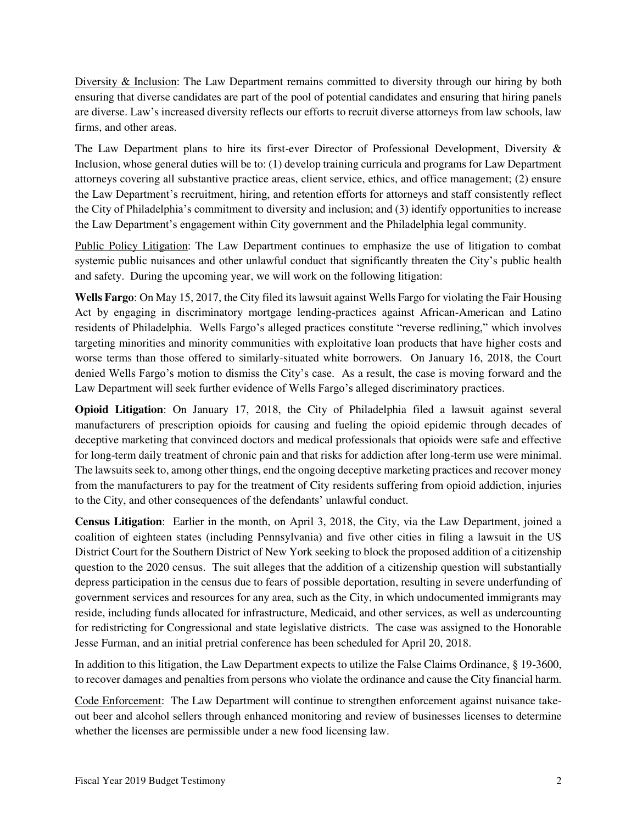Diversity & Inclusion: The Law Department remains committed to diversity through our hiring by both ensuring that diverse candidates are part of the pool of potential candidates and ensuring that hiring panels are diverse. Law's increased diversity reflects our efforts to recruit diverse attorneys from law schools, law firms, and other areas.

The Law Department plans to hire its first-ever Director of Professional Development, Diversity & Inclusion, whose general duties will be to: (1) develop training curricula and programs for Law Department attorneys covering all substantive practice areas, client service, ethics, and office management; (2) ensure the Law Department's recruitment, hiring, and retention efforts for attorneys and staff consistently reflect the City of Philadelphia's commitment to diversity and inclusion; and (3) identify opportunities to increase the Law Department's engagement within City government and the Philadelphia legal community.

Public Policy Litigation: The Law Department continues to emphasize the use of litigation to combat systemic public nuisances and other unlawful conduct that significantly threaten the City's public health and safety. During the upcoming year, we will work on the following litigation:

**Wells Fargo**: On May 15, 2017, the City filed its lawsuit against Wells Fargo for violating the Fair Housing Act by engaging in discriminatory mortgage lending-practices against African-American and Latino residents of Philadelphia. Wells Fargo's alleged practices constitute "reverse redlining," which involves targeting minorities and minority communities with exploitative loan products that have higher costs and worse terms than those offered to similarly-situated white borrowers. On January 16, 2018, the Court denied Wells Fargo's motion to dismiss the City's case. As a result, the case is moving forward and the Law Department will seek further evidence of Wells Fargo's alleged discriminatory practices.

**Opioid Litigation**: On January 17, 2018, the City of Philadelphia filed a lawsuit against several manufacturers of prescription opioids for causing and fueling the opioid epidemic through decades of deceptive marketing that convinced doctors and medical professionals that opioids were safe and effective for long-term daily treatment of chronic pain and that risks for addiction after long-term use were minimal. The lawsuits seek to, among other things, end the ongoing deceptive marketing practices and recover money from the manufacturers to pay for the treatment of City residents suffering from opioid addiction, injuries to the City, and other consequences of the defendants' unlawful conduct.

**Census Litigation**: Earlier in the month, on April 3, 2018, the City, via the Law Department, joined a coalition of eighteen states (including Pennsylvania) and five other cities in filing a lawsuit in the US District Court for the Southern District of New York seeking to block the proposed addition of a citizenship question to the 2020 census. The suit alleges that the addition of a citizenship question will substantially depress participation in the census due to fears of possible deportation, resulting in severe underfunding of government services and resources for any area, such as the City, in which undocumented immigrants may reside, including funds allocated for infrastructure, Medicaid, and other services, as well as undercounting for redistricting for Congressional and state legislative districts. The case was assigned to the Honorable Jesse Furman, and an initial pretrial conference has been scheduled for April 20, 2018.

In addition to this litigation, the Law Department expects to utilize the False Claims Ordinance, § 19-3600, to recover damages and penalties from persons who violate the ordinance and cause the City financial harm.

Code Enforcement: The Law Department will continue to strengthen enforcement against nuisance takeout beer and alcohol sellers through enhanced monitoring and review of businesses licenses to determine whether the licenses are permissible under a new food licensing law.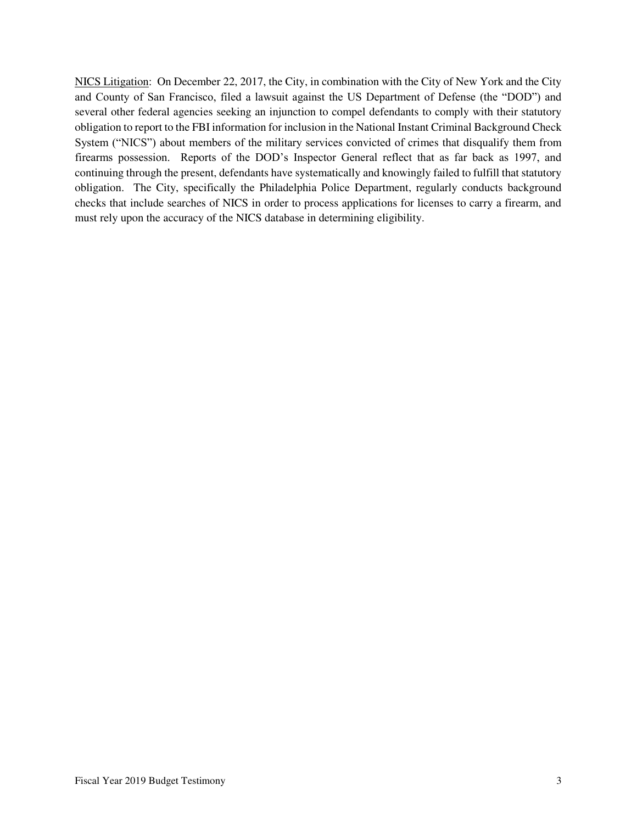NICS Litigation: On December 22, 2017, the City, in combination with the City of New York and the City and County of San Francisco, filed a lawsuit against the US Department of Defense (the "DOD") and several other federal agencies seeking an injunction to compel defendants to comply with their statutory obligation to report to the FBI information for inclusion in the National Instant Criminal Background Check System ("NICS") about members of the military services convicted of crimes that disqualify them from firearms possession. Reports of the DOD's Inspector General reflect that as far back as 1997, and continuing through the present, defendants have systematically and knowingly failed to fulfill that statutory obligation. The City, specifically the Philadelphia Police Department, regularly conducts background checks that include searches of NICS in order to process applications for licenses to carry a firearm, and must rely upon the accuracy of the NICS database in determining eligibility.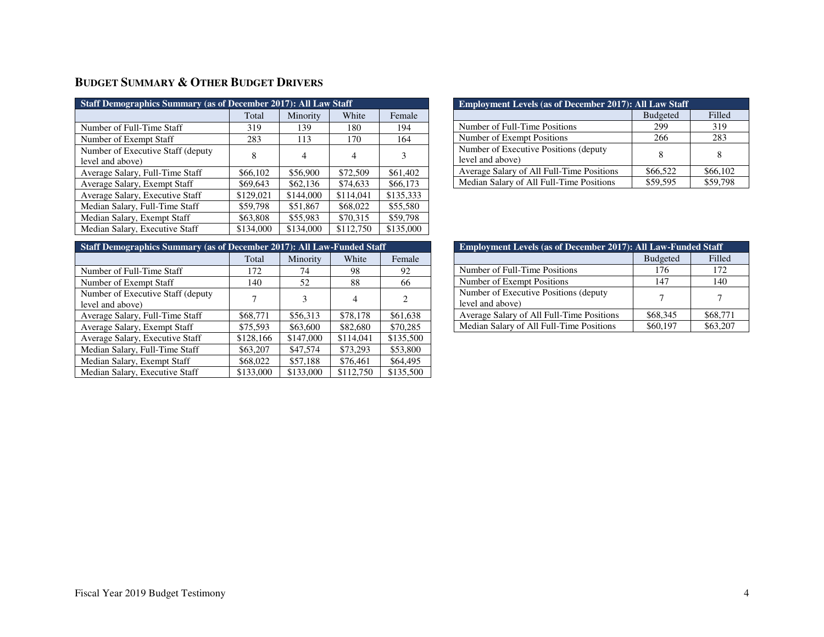# **BUDGET SUMMARY & OTHER BUDGET DRIVERS**

| <b>Staff Demographics Summary (as of December 2017): All Law Staff</b> |           |           |           |           |  |  |
|------------------------------------------------------------------------|-----------|-----------|-----------|-----------|--|--|
|                                                                        | Total     | Minority  | White     | Female    |  |  |
| Number of Full-Time Staff                                              | 319       | 139       | 180       | 194       |  |  |
| Number of Exempt Staff                                                 | 283       | 113       | 170       | 164       |  |  |
| Number of Executive Staff (deputy<br>level and above)                  | 8         | 4         | 4         | 3         |  |  |
| Average Salary, Full-Time Staff                                        | \$66,102  | \$56,900  | \$72,509  | \$61,402  |  |  |
| Average Salary, Exempt Staff                                           | \$69,643  | \$62,136  | \$74,633  | \$66,173  |  |  |
| Average Salary, Executive Staff                                        | \$129,021 | \$144,000 | \$114.041 | \$135,333 |  |  |
| Median Salary, Full-Time Staff                                         | \$59,798  | \$51,867  | \$68,022  | \$55,580  |  |  |
| Median Salary, Exempt Staff                                            | \$63,808  | \$55,983  | \$70,315  | \$59,798  |  |  |
| Median Salary, Executive Staff                                         | \$134,000 | \$134,000 | \$112,750 | \$135,000 |  |  |

| <b>Employment Levels (as of December 2017): All Law Staff</b> |                 |          |  |  |  |
|---------------------------------------------------------------|-----------------|----------|--|--|--|
|                                                               | <b>Budgeted</b> | Filled   |  |  |  |
| Number of Full-Time Positions                                 | 299             | 319      |  |  |  |
| Number of Exempt Positions                                    | 266             | 283      |  |  |  |
| Number of Executive Positions (deputy<br>level and above)     |                 |          |  |  |  |
| Average Salary of All Full-Time Positions                     | \$66,522        | \$66,102 |  |  |  |
| Median Salary of All Full-Time Positions                      | \$59,595        | \$59,798 |  |  |  |

| <b>Staff Demographics Summary (as of December 2017): All Law-Funded Staff</b> |           |           |           |  |  |  |
|-------------------------------------------------------------------------------|-----------|-----------|-----------|--|--|--|
| Total                                                                         | Minority  | White     | Female    |  |  |  |
| 172                                                                           | 74        | 98        | 92        |  |  |  |
| 140                                                                           | 52        | 88        | 66        |  |  |  |
|                                                                               |           |           | 2         |  |  |  |
|                                                                               |           |           |           |  |  |  |
| \$68,771                                                                      | \$56,313  | \$78,178  | \$61,638  |  |  |  |
| \$75,593                                                                      | \$63,600  | \$82,680  | \$70,285  |  |  |  |
| \$128,166                                                                     | \$147,000 | \$114,041 | \$135,500 |  |  |  |
| \$63,207                                                                      | \$47,574  | \$73,293  | \$53,800  |  |  |  |
| \$68,022                                                                      | \$57,188  | \$76,461  | \$64,495  |  |  |  |
| \$133,000                                                                     | \$133,000 | \$112,750 | \$135,500 |  |  |  |
|                                                                               | 7         | 3         | 4         |  |  |  |

| <b>Employment Levels (as of December 2017): All Law-Funded Staff</b> |                 |          |  |  |  |
|----------------------------------------------------------------------|-----------------|----------|--|--|--|
|                                                                      | <b>Budgeted</b> | Filled   |  |  |  |
| Number of Full-Time Positions                                        | 176             | 172      |  |  |  |
| Number of Exempt Positions                                           | 147             | 140      |  |  |  |
| Number of Executive Positions (deputy)<br>level and above)           |                 |          |  |  |  |
| Average Salary of All Full-Time Positions                            | \$68,345        | \$68,771 |  |  |  |
| Median Salary of All Full-Time Positions                             | \$60,197        | \$63,207 |  |  |  |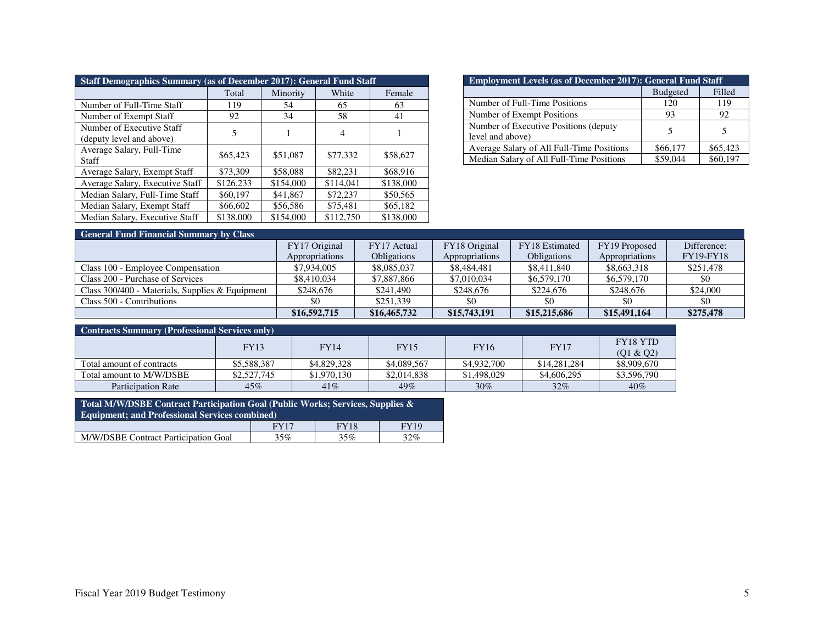| <b>Staff Demographics Summary (as of December 2017): General Fund Staff</b> |           |           |           |           |  |  |  |  |
|-----------------------------------------------------------------------------|-----------|-----------|-----------|-----------|--|--|--|--|
| White<br>Female<br>Total<br>Minority                                        |           |           |           |           |  |  |  |  |
| Number of Full-Time Staff                                                   | 119       | 54        | 65        | 63        |  |  |  |  |
| Number of Exempt Staff                                                      | 92        | 34        | 58        | 41        |  |  |  |  |
| Number of Executive Staff<br>(deputy level and above)                       | 5         |           | 4         |           |  |  |  |  |
| Average Salary, Full-Time<br>Staff                                          | \$65,423  | \$51,087  | \$77,332  | \$58,627  |  |  |  |  |
| Average Salary, Exempt Staff                                                | \$73,309  | \$58,088  | \$82,231  | \$68,916  |  |  |  |  |
| Average Salary, Executive Staff                                             | \$126,233 | \$154,000 | \$114,041 | \$138,000 |  |  |  |  |
| Median Salary, Full-Time Staff                                              | \$60,197  | \$41,867  | \$72,237  | \$50,565  |  |  |  |  |
| Median Salary, Exempt Staff                                                 | \$66,602  | \$56,586  | \$75,481  | \$65,182  |  |  |  |  |
| Median Salary, Executive Staff                                              | \$138,000 | \$154,000 | \$112,750 | \$138,000 |  |  |  |  |

| <b>Employment Levels (as of December 2017): General Fund Staff</b> |                 |          |  |  |  |
|--------------------------------------------------------------------|-----------------|----------|--|--|--|
|                                                                    | <b>Budgeted</b> | Filled   |  |  |  |
| Number of Full-Time Positions                                      | 120             | 119      |  |  |  |
| Number of Exempt Positions                                         | 93              | 92       |  |  |  |
| Number of Executive Positions (deputy)<br>level and above)         |                 |          |  |  |  |
| Average Salary of All Full-Time Positions                          | \$66,177        | \$65,423 |  |  |  |
| Median Salary of All Full-Time Positions                           | \$59,044        | \$60,197 |  |  |  |

| <b>General Fund Financial Summary by Class</b>    |                |                    |                |                       |                |                  |
|---------------------------------------------------|----------------|--------------------|----------------|-----------------------|----------------|------------------|
|                                                   | FY17 Original  | FY17 Actual        | FY18 Original  | <b>FY18</b> Estimated | FY19 Proposed  | Difference:      |
|                                                   | Appropriations | <b>Obligations</b> | Appropriations | <b>Obligations</b>    | Appropriations | <b>FY19-FY18</b> |
| Class 100 - Employee Compensation                 | \$7,934,005    | \$8,085,037        | \$8,484,481    | \$8,411,840           | \$8,663,318    | \$251.478        |
| Class 200 - Purchase of Services                  | \$8,410,034    | \$7,887,866        | \$7,010,034    | \$6,579,170           | \$6,579,170    | \$0              |
| Class $300/400$ - Materials, Supplies & Equipment | \$248,676      | \$241,490          | \$248,676      | \$224,676             | \$248,676      | \$24,000         |
| Class 500 - Contributions                         | \$0            | \$251.339          | \$0            |                       | \$0            | -\$0             |
|                                                   | \$16,592,715   | \$16,465,732       | \$15,743,191   | \$15,215,686          | \$15,491,164   | \$275,478        |

| <b>Contracts Summary (Professional Services only)</b> |             |             |             |             |              |                              |
|-------------------------------------------------------|-------------|-------------|-------------|-------------|--------------|------------------------------|
|                                                       | <b>FY13</b> | <b>FY14</b> | <b>FY15</b> | <b>FY16</b> | <b>FY17</b>  | <b>FY18 YTD</b><br>(01 & 02) |
| Total amount of contracts                             | \$5,588,387 | \$4,829,328 | \$4,089,567 | \$4,932,700 | \$14,281,284 | \$8,909,670                  |
| Total amount to M/W/DSBE                              | \$2,527,745 | \$1,970,130 | \$2,014,838 | \$1,498,029 | \$4,606,295  | \$3,596,790                  |
| Participation Rate                                    | 45%         | 41%         | 49%         | $30\%$      | 32%          | 40%                          |

| Total M/W/DSBE Contract Participation Goal (Public Works; Services, Supplies & |     |     |     |  |  |  |
|--------------------------------------------------------------------------------|-----|-----|-----|--|--|--|
| <b>Equipment: and Professional Services combined)</b>                          |     |     |     |  |  |  |
| <b>FY18</b><br>FY19<br><b>FY17</b>                                             |     |     |     |  |  |  |
| M/W/DSBE Contract Participation Goal                                           | 35% | 35% | 32% |  |  |  |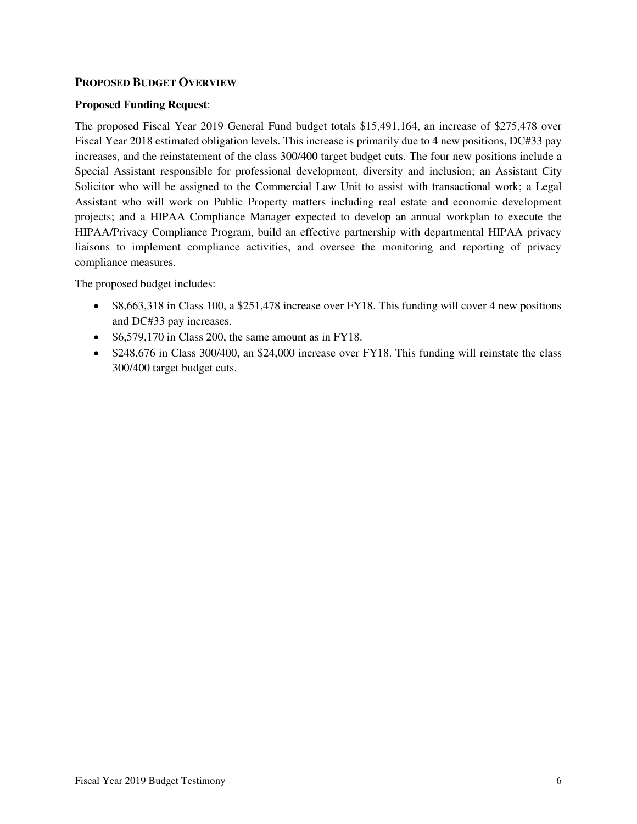### **PROPOSED BUDGET OVERVIEW**

#### **Proposed Funding Request**:

The proposed Fiscal Year 2019 General Fund budget totals \$15,491,164, an increase of \$275,478 over Fiscal Year 2018 estimated obligation levels. This increase is primarily due to 4 new positions, DC#33 pay increases, and the reinstatement of the class 300/400 target budget cuts. The four new positions include a Special Assistant responsible for professional development, diversity and inclusion; an Assistant City Solicitor who will be assigned to the Commercial Law Unit to assist with transactional work; a Legal Assistant who will work on Public Property matters including real estate and economic development projects; and a HIPAA Compliance Manager expected to develop an annual workplan to execute the HIPAA/Privacy Compliance Program, build an effective partnership with departmental HIPAA privacy liaisons to implement compliance activities, and oversee the monitoring and reporting of privacy compliance measures.

The proposed budget includes:

- \$8,663,318 in Class 100, a \$251,478 increase over FY18. This funding will cover 4 new positions and DC#33 pay increases.
- \$6,579,170 in Class 200, the same amount as in FY18.
- \$248,676 in Class 300/400, an \$24,000 increase over FY18. This funding will reinstate the class 300/400 target budget cuts.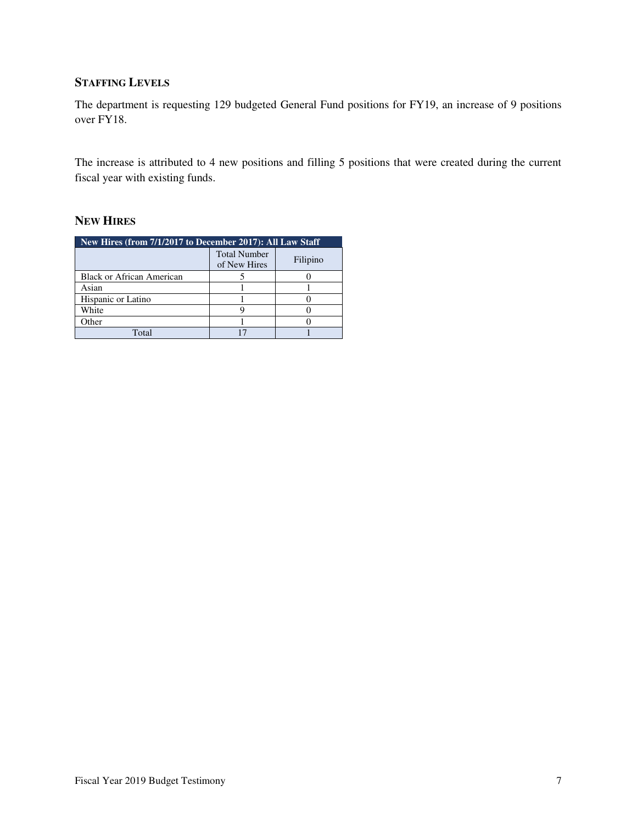# **STAFFING LEVELS**

The department is requesting 129 budgeted General Fund positions for FY19, an increase of 9 positions over FY18.

The increase is attributed to 4 new positions and filling 5 positions that were created during the current fiscal year with existing funds.

# **NEW HIRES**

| New Hires (from 7/1/2017 to December 2017): All Law Staff |                                                 |  |  |  |  |
|-----------------------------------------------------------|-------------------------------------------------|--|--|--|--|
|                                                           | <b>Total Number</b><br>Filipino<br>of New Hires |  |  |  |  |
| Black or African American                                 |                                                 |  |  |  |  |
| Asian                                                     |                                                 |  |  |  |  |
| Hispanic or Latino                                        |                                                 |  |  |  |  |
| White                                                     |                                                 |  |  |  |  |
| ther                                                      |                                                 |  |  |  |  |
| Total                                                     |                                                 |  |  |  |  |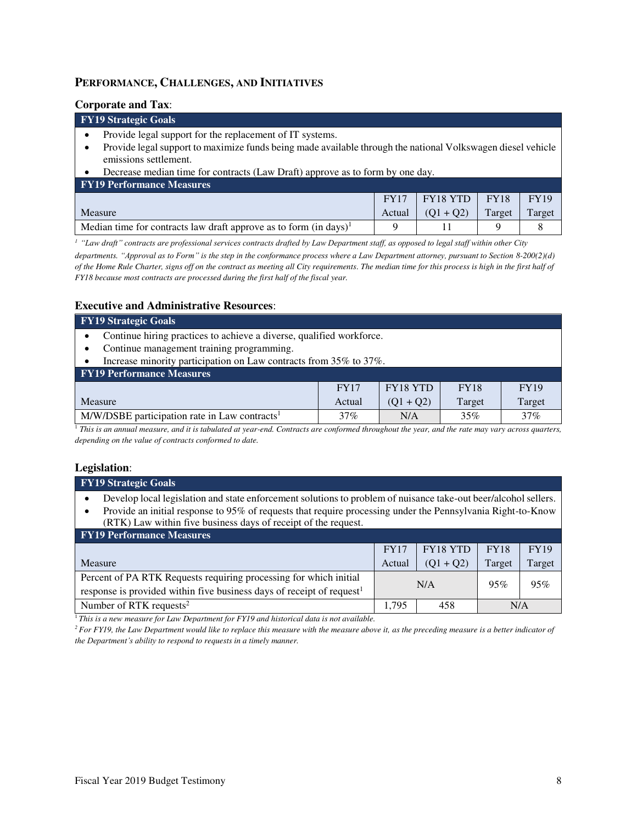### **PERFORMANCE, CHALLENGES, AND INITIATIVES**

#### **Corporate and Tax**:

### **FY19 Strategic Goals**

- Provide legal support for the replacement of IT systems.
- Provide legal support to maximize funds being made available through the national Volkswagen diesel vehicle emissions settlement.
- Decrease median time for contracts (Law Draft) approve as to form by one day.

| <b>FY19 Performance Measures</b>                                     |             |                                |             |             |
|----------------------------------------------------------------------|-------------|--------------------------------|-------------|-------------|
|                                                                      | <b>FY17</b> | $ $ FY18 YTD $ $               | <b>FY18</b> | <b>FY19</b> |
| <b>Measure</b>                                                       |             | Actual $\vert (Q1 + Q2) \vert$ | Target      | Target      |
| Median time for contracts law draft approve as to form $(in days)^T$ |             |                                |             |             |

*<sup>1</sup> "Law draft" contracts are professional services contracts drafted by Law Department staff, as opposed to legal staff within other City* 

*departments. "Approval as to Form" is the step in the conformance process where a Law Department attorney, pursuant to Section 8-200(2)(d) of the Home Rule Charter, signs off on the contract as meeting all City requirements. The median time for this process is high in the first half of FY18 because most contracts are processed during the first half of the fiscal year.*

#### **Executive and Administrative Resources**:

| <b>FY19 Strategic Goals</b>                                          |             |          |             |             |  |  |
|----------------------------------------------------------------------|-------------|----------|-------------|-------------|--|--|
| Continue hiring practices to achieve a diverse, qualified workforce. |             |          |             |             |  |  |
| Continue management training programming.                            |             |          |             |             |  |  |
| Increase minority participation on Law contracts from 35% to 37%.    |             |          |             |             |  |  |
| <b>FY19 Performance Measures</b>                                     |             |          |             |             |  |  |
|                                                                      | <b>FY17</b> | FY18 YTD | <b>FY18</b> | <b>FY19</b> |  |  |
| Target<br>$(Q1 + Q2)$<br>Target<br>Measure<br>Actual                 |             |          |             |             |  |  |
| $M/W/DSBE$ participation rate in Law contracts <sup>1</sup>          | 37%         | N/A      | 35%         | 37%         |  |  |

<sup>1</sup> This is an annual measure, and it is tabulated at year-end. Contracts are conformed throughout the year, and the rate may vary across quarters, *depending on the value of contracts conformed to date.*

#### **Legislation**:

| FY19 Strategic Goals                                                                                                                                                                                                                                                                                          |             |                 |             |             |  |  |  |
|---------------------------------------------------------------------------------------------------------------------------------------------------------------------------------------------------------------------------------------------------------------------------------------------------------------|-------------|-----------------|-------------|-------------|--|--|--|
| Develop local legislation and state enforcement solutions to problem of nuisance take-out beer/alcohol sellers.<br>Provide an initial response to 95% of requests that require processing under the Pennsylvania Right-to-Know<br>$\bullet$<br>(RTK) Law within five business days of receipt of the request. |             |                 |             |             |  |  |  |
| <b>FY19 Performance Measures</b>                                                                                                                                                                                                                                                                              |             |                 |             |             |  |  |  |
|                                                                                                                                                                                                                                                                                                               | <b>FY17</b> | <b>FY18 YTD</b> | <b>FY18</b> | <b>FY19</b> |  |  |  |
| Measure                                                                                                                                                                                                                                                                                                       | Actual      | $(Q1 + Q2)$     | Target      | Target      |  |  |  |
| Percent of PA RTK Requests requiring processing for which initial                                                                                                                                                                                                                                             | N/A         | 95%             | 95%         |             |  |  |  |
| response is provided within five business days of receipt of request <sup>1</sup>                                                                                                                                                                                                                             |             |                 |             |             |  |  |  |
| Number of RTK requests <sup>2</sup>                                                                                                                                                                                                                                                                           | 1.795       | 458             | N/A         |             |  |  |  |

<sup>1</sup>This is a new measure for Law Department for FY19 and historical data is not available.

*<sup>2</sup>For FY19, the Law Department would like to replace this measure with the measure above it, as the preceding measure is a better indicator of the Department's ability to respond to requests in a timely manner.*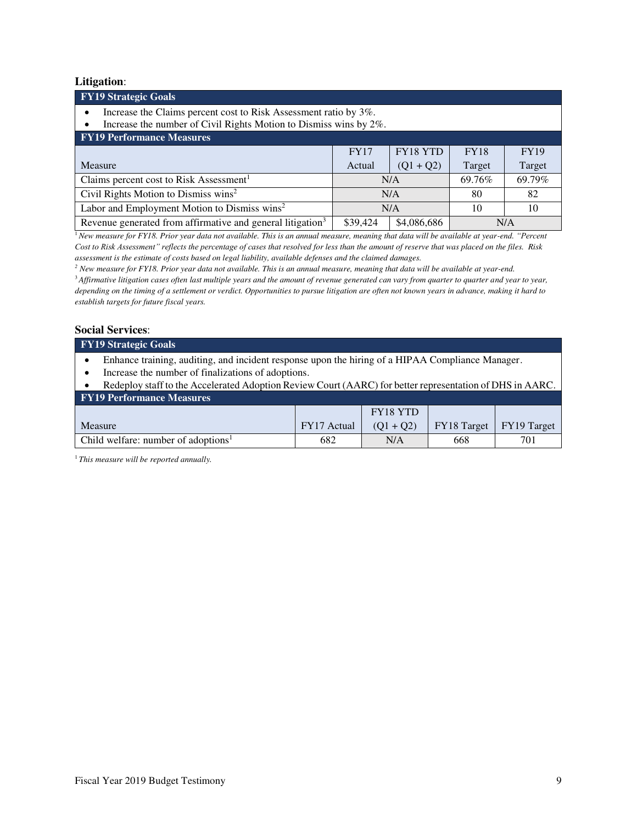#### **Litigation**:

| <b>FY19 Strategic Goals</b>                                                 |                                                                                                                                             |        |        |  |  |  |
|-----------------------------------------------------------------------------|---------------------------------------------------------------------------------------------------------------------------------------------|--------|--------|--|--|--|
| Increase the Claims percent cost to Risk Assessment ratio by 3%.<br>٠       |                                                                                                                                             |        |        |  |  |  |
|                                                                             |                                                                                                                                             |        |        |  |  |  |
| <b>FY19 Performance Measures</b>                                            |                                                                                                                                             |        |        |  |  |  |
| FY18 YTD<br><b>FY17</b><br><b>FY18</b><br><b>FY19</b>                       |                                                                                                                                             |        |        |  |  |  |
| Actual                                                                      | $(Q1 + Q2)$                                                                                                                                 | Target | Target |  |  |  |
|                                                                             |                                                                                                                                             | 69.76% | 69.79% |  |  |  |
| Civil Rights Motion to Dismiss wins <sup>2</sup><br>82<br>N/A<br>80         |                                                                                                                                             |        |        |  |  |  |
| Labor and Employment Motion to Dismiss wins <sup>2</sup><br>N/A<br>10<br>10 |                                                                                                                                             |        |        |  |  |  |
| \$39,424                                                                    | \$4,086,686                                                                                                                                 |        | N/A    |  |  |  |
|                                                                             | Increase the number of Civil Rights Motion to Dismiss wins by 2%.<br>Revenue generated from affirmative and general litigation <sup>3</sup> | N/A    |        |  |  |  |

<sup>1</sup>*New measure for FY18. Prior year data not available. This is an annual measure, meaning that data will be available at year-end. "Percent*  Cost to Risk Assessment" reflects the percentage of cases that resolved for less than the amount of reserve that was placed on the files. Risk *assessment is the estimate of costs based on legal liability, available defenses and the claimed damages.* 

*2 New measure for FY18. Prior year data not available. This is an annual measure, meaning that data will be available at year-end.*  <sup>3</sup>*Affirmative litigation cases often last multiple years and the amount of revenue generated can vary from quarter to quarter and year to year, depending on the timing of a settlement or verdict. Opportunities to pursue litigation are often not known years in advance, making it hard to establish targets for future fiscal years.* 

#### **Social Services**:

| <b>FY19 Strategic Goals</b> |   |  |  |  |  |
|-----------------------------|---|--|--|--|--|
|                             | . |  |  |  |  |

- Enhance training, auditing, and incident response upon the hiring of a HIPAA Compliance Manager.
- Increase the number of finalizations of adoptions.

| Redeploy staff to the Accelerated Adoption Review Court (AARC) for better representation of DHS in AARC. |  |          |  |  |  |  |  |
|----------------------------------------------------------------------------------------------------------|--|----------|--|--|--|--|--|
| <b>FY19 Performance Measures</b>                                                                         |  |          |  |  |  |  |  |
|                                                                                                          |  | FY18 YTD |  |  |  |  |  |

|                                                 |             | <b>FY18 YTD</b> |                                       |     |
|-------------------------------------------------|-------------|-----------------|---------------------------------------|-----|
| Measure                                         | FY17 Actual | $(01 + 02)$     | $\mid$ FY18 Target $\mid$ FY19 Target |     |
| Child welfare: number of adoptions <sup>1</sup> | 682         | N/A             | 668                                   | 701 |

1 *This measure will be reported annually.*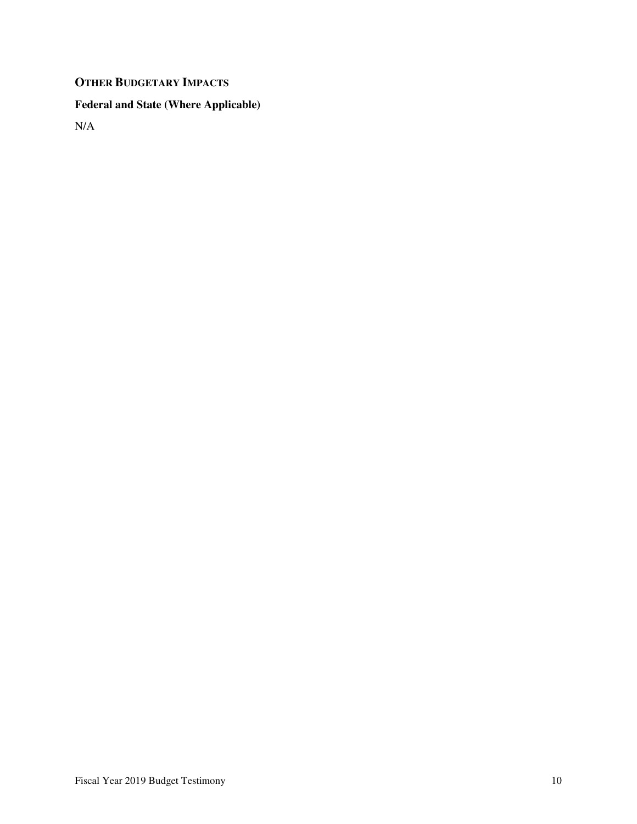# **OTHER BUDGETARY IMPACTS**

# **Federal and State (Where Applicable)**

N/A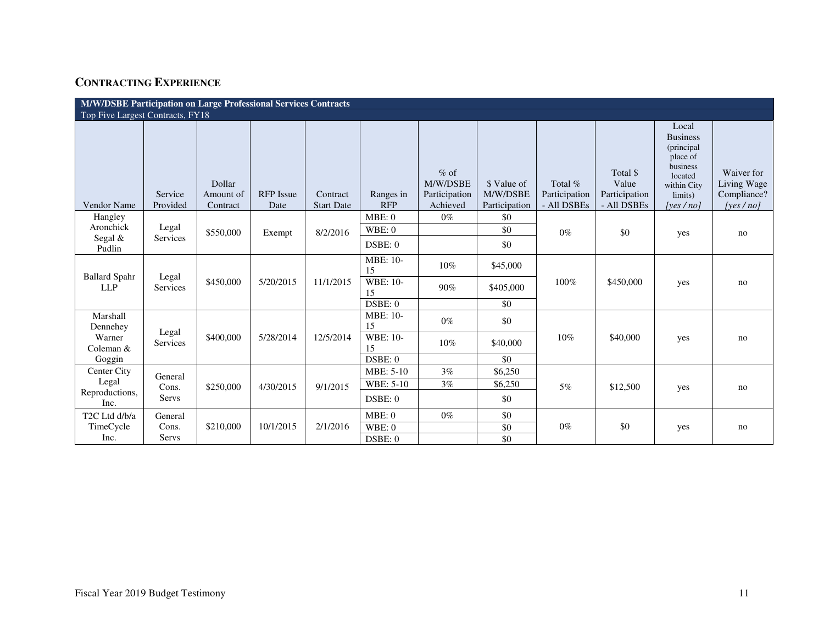# **CONTRACTING EXPERIENCE**

| M/W/DSBE Participation on Large Professional Services Contracts |                     |                                 |                          |                               |                         |                                                 |                                          |                                         |                                                   |                                                                                                                 |                                                      |
|-----------------------------------------------------------------|---------------------|---------------------------------|--------------------------|-------------------------------|-------------------------|-------------------------------------------------|------------------------------------------|-----------------------------------------|---------------------------------------------------|-----------------------------------------------------------------------------------------------------------------|------------------------------------------------------|
| Top Five Largest Contracts, FY18                                |                     |                                 |                          |                               |                         |                                                 |                                          |                                         |                                                   |                                                                                                                 |                                                      |
| Vendor Name                                                     | Service<br>Provided | Dollar<br>Amount of<br>Contract | <b>RFP</b> Issue<br>Date | Contract<br><b>Start Date</b> | Ranges in<br><b>RFP</b> | $%$ of<br>M/W/DSBE<br>Participation<br>Achieved | \$ Value of<br>M/W/DSBE<br>Participation | Total %<br>Participation<br>- All DSBEs | Total \$<br>Value<br>Participation<br>- All DSBEs | Local<br><b>Business</b><br>(principal<br>place of<br>business<br>located<br>within City<br>limits)<br>[ves/no] | Waiver for<br>Living Wage<br>Compliance?<br>[ves/no] |
| Hangley                                                         |                     |                                 |                          |                               | MBE: 0                  | $0\%$                                           | \$0                                      |                                         |                                                   |                                                                                                                 |                                                      |
| Aronchick                                                       | Legal               | \$550,000                       | Exempt                   | 8/2/2016                      | WBE:0                   |                                                 | \$0                                      | $0\%$                                   | \$0                                               | yes                                                                                                             | no                                                   |
| Segal $&$<br>Pudlin                                             | Services            |                                 |                          |                               | DSBE: 0                 |                                                 | \$0                                      |                                         |                                                   |                                                                                                                 |                                                      |
| <b>Ballard Spahr</b>                                            | Legal               |                                 |                          |                               | <b>MBE: 10-</b><br>15   | 10%                                             | \$45,000                                 |                                         |                                                   |                                                                                                                 |                                                      |
| <b>LLP</b>                                                      | Services            | \$450,000                       | 5/20/2015                | 11/1/2015                     | <b>WBE: 10-</b><br>15   | 90%                                             | \$405,000                                | 100%                                    | \$450,000                                         | yes                                                                                                             | no                                                   |
|                                                                 |                     |                                 |                          |                               | DSBE: 0                 |                                                 | \$0                                      |                                         |                                                   |                                                                                                                 |                                                      |
| Marshall<br>Dennehey                                            |                     |                                 |                          |                               | <b>MBE: 10-</b><br>15   | $0\%$                                           | \$0                                      |                                         |                                                   |                                                                                                                 |                                                      |
| Warner<br>Coleman &                                             | Legal<br>Services   | \$400,000                       | 5/28/2014                | 12/5/2014                     | <b>WBE: 10-</b><br>15   | 10%                                             | \$40,000                                 | 10%                                     | \$40,000                                          | yes                                                                                                             | no                                                   |
| Goggin                                                          |                     |                                 |                          |                               | DSBE: 0                 |                                                 | \$0                                      |                                         |                                                   |                                                                                                                 |                                                      |
| Center City                                                     | General             |                                 |                          |                               | <b>MBE: 5-10</b>        | 3%                                              | \$6,250                                  |                                         |                                                   |                                                                                                                 |                                                      |
| Legal                                                           | Cons.               | \$250,000                       | 4/30/2015                | 9/1/2015                      | WBE: 5-10               | 3%                                              | \$6,250                                  | 5%                                      | \$12,500                                          | yes                                                                                                             | no                                                   |
| Reproductions,<br>Inc.                                          | Servs               |                                 |                          |                               | DSBE: 0                 |                                                 | \$0                                      |                                         |                                                   |                                                                                                                 |                                                      |
| T <sub>2</sub> C Ltd d/b/a                                      | General             |                                 |                          |                               | MBE:0                   | $0\%$                                           | \$0                                      |                                         |                                                   |                                                                                                                 |                                                      |
| TimeCycle                                                       | Cons.               | \$210,000                       | 10/1/2015                | 2/1/2016                      | WBE: 0                  |                                                 | \$0                                      | $0\%$                                   | \$0                                               | yes                                                                                                             | no                                                   |
| Inc.                                                            | <b>Servs</b>        |                                 |                          |                               | DSBE: 0                 |                                                 | \$0                                      |                                         |                                                   |                                                                                                                 |                                                      |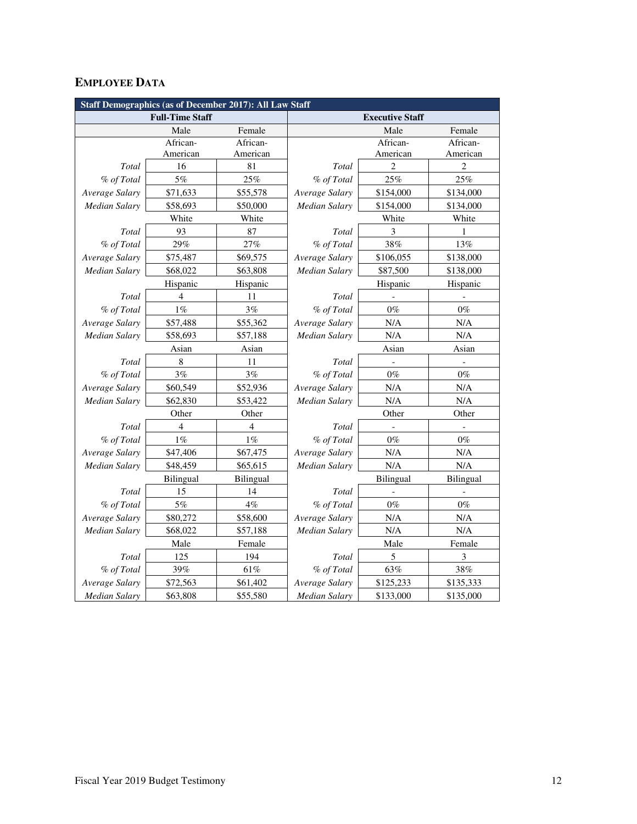# **EMPLOYEE DATA**

| <b>Staff Demographics (as of December 2017): All Law Staff</b> |                        |                  |                      |                        |           |  |  |
|----------------------------------------------------------------|------------------------|------------------|----------------------|------------------------|-----------|--|--|
|                                                                | <b>Full-Time Staff</b> |                  |                      | <b>Executive Staff</b> |           |  |  |
|                                                                | Male                   | Female           |                      | Male                   | Female    |  |  |
|                                                                | African-               | African-         |                      | African-               | African-  |  |  |
|                                                                | American               | American         |                      | American               | American  |  |  |
| Total                                                          | 16                     | 81               | Total                | $\overline{2}$         | 2         |  |  |
| % of Total                                                     | 5%                     | 25%              | % of Total           | 25%                    | 25%       |  |  |
| Average Salary                                                 | \$71,633               | \$55,578         | Average Salary       | \$154,000              | \$134,000 |  |  |
| <b>Median Salary</b>                                           | \$58,693               | \$50,000         | Median Salary        | \$154,000              | \$134,000 |  |  |
|                                                                | White                  | White            |                      | White                  | White     |  |  |
| Total                                                          | 93                     | 87               | Total                | 3                      | 1         |  |  |
| % of Total                                                     | 29%                    | 27%              | % of Total           | 38%                    | 13%       |  |  |
| Average Salary                                                 | \$75,487               | \$69,575         | Average Salary       | \$106,055              | \$138,000 |  |  |
| Median Salary                                                  | \$68,022               | \$63,808         | Median Salary        | \$87,500               | \$138,000 |  |  |
|                                                                | Hispanic               | Hispanic         |                      | Hispanic               | Hispanic  |  |  |
| Total                                                          | $\overline{4}$         | 11               | Total                |                        |           |  |  |
| % of Total                                                     | $1\%$                  | 3%               | % of Total           | $0\%$                  | $0\%$     |  |  |
| Average Salary                                                 | \$57,488               | \$55,362         | Average Salary       | N/A                    | N/A       |  |  |
| <b>Median Salary</b>                                           | \$58,693               | \$57,188         | <b>Median Salary</b> | N/A                    | N/A       |  |  |
|                                                                | Asian                  | Asian            | Asian                |                        | Asian     |  |  |
| Total                                                          | $\,8\,$                | 11               | Total                |                        |           |  |  |
| % of Total                                                     | 3%                     | 3%               | % of Total           | $0\%$                  | $0\%$     |  |  |
| Average Salary                                                 | \$60,549               | \$52,936         | Average Salary       | N/A                    | N/A       |  |  |
| <b>Median Salary</b>                                           | \$62,830               | \$53,422         | <b>Median Salary</b> | N/A                    | N/A       |  |  |
|                                                                | Other                  | Other            |                      | Other                  | Other     |  |  |
| Total                                                          | $\overline{4}$         | 4                | Total                |                        |           |  |  |
| % of Total                                                     | $1\%$                  | $1\%$            | % of Total           | $0\%$                  | $0\%$     |  |  |
| Average Salary                                                 | \$47,406               | \$67,475         | Average Salary       | N/A                    | N/A       |  |  |
| <b>Median Salary</b>                                           | \$48,459               | \$65,615         | Median Salary        | N/A                    | N/A       |  |  |
|                                                                | Bilingual              | <b>Bilingual</b> |                      | Bilingual              | Bilingual |  |  |
| Total                                                          | 15                     | 14               | Total                |                        |           |  |  |
| % of Total                                                     | $5\%$                  | $4\%$            | % of Total           | $0\%$                  | $0\%$     |  |  |
| Average Salary                                                 | \$80,272               | \$58,600         | Average Salary       | N/A                    | N/A       |  |  |
| Median Salary                                                  | \$68,022               | \$57,188         | <b>Median Salary</b> | N/A                    | N/A       |  |  |
|                                                                | Male                   | Female           |                      | Male                   | Female    |  |  |
| Total                                                          | 125                    | 194              | Total                | 5                      | 3         |  |  |
| % of Total                                                     | 39%                    | 61%              | % of Total           | 63%                    | $38\%$    |  |  |
| Average Salary                                                 | \$72,563               | \$61,402         | Average Salary       | \$125,233              | \$135,333 |  |  |
| <b>Median Salary</b>                                           | \$63,808               | \$55,580         | <b>Median Salary</b> | \$133,000              | \$135,000 |  |  |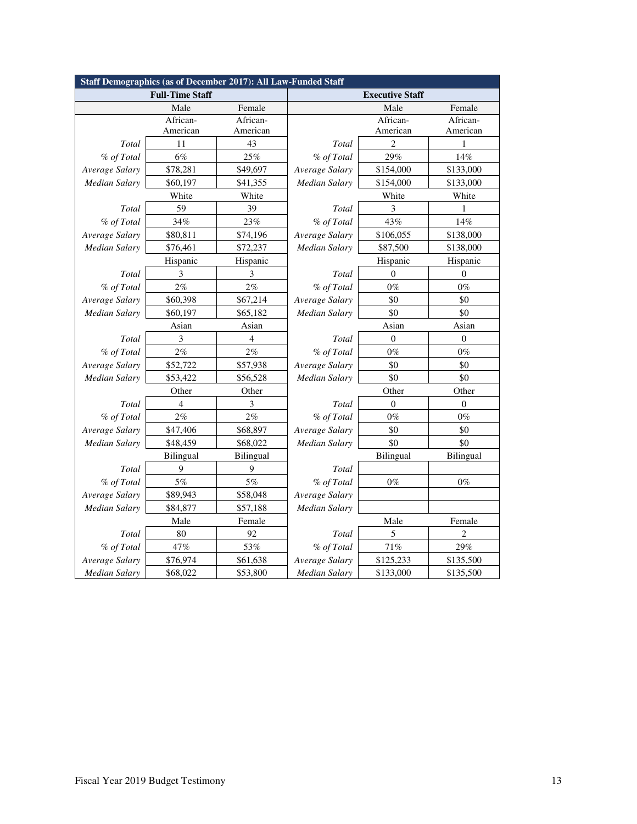| Staff Demographics (as of December 2017): All Law-Funded Staff |                        |                |                |                        |                  |  |  |  |
|----------------------------------------------------------------|------------------------|----------------|----------------|------------------------|------------------|--|--|--|
|                                                                | <b>Full-Time Staff</b> |                |                | <b>Executive Staff</b> |                  |  |  |  |
|                                                                | Male                   | Female         |                | Male                   | Female           |  |  |  |
|                                                                | African-               | African-       |                | African-               | African-         |  |  |  |
|                                                                | American               | American       |                | American               | American         |  |  |  |
| Total                                                          | 11                     | 43             | Total          | 2                      |                  |  |  |  |
| % of Total                                                     | 6%                     | 25%            | % of Total     | 29%                    | 14%              |  |  |  |
| Average Salary                                                 | \$78,281               | \$49,697       | Average Salary | \$154,000              | \$133,000        |  |  |  |
| <b>Median Salary</b>                                           | \$60,197               | \$41,355       | Median Salary  | \$154,000              | \$133,000        |  |  |  |
|                                                                | White                  | White          |                | White                  | White            |  |  |  |
| Total                                                          | 59                     | 39             | Total          | 3                      | 1                |  |  |  |
| % of Total                                                     | 34%                    | 23%            | % of Total     | 43%                    | 14%              |  |  |  |
| Average Salary                                                 | \$80,811               | \$74,196       | Average Salary | \$106,055              | \$138,000        |  |  |  |
| <b>Median Salary</b>                                           | \$76,461               | \$72,237       | Median Salary  | \$87,500               | \$138,000        |  |  |  |
|                                                                | Hispanic               | Hispanic       |                | Hispanic               | Hispanic         |  |  |  |
| Total                                                          | 3                      | 3              | Total          | $\overline{0}$         | $\mathbf{0}$     |  |  |  |
| % of Total                                                     | 2%                     | 2%             | % of Total     | $0\%$                  | $0\%$            |  |  |  |
| Average Salary                                                 | \$60,398               | \$67,214       | Average Salary | \$0                    | \$0              |  |  |  |
| <b>Median Salary</b>                                           | \$60,197               | \$65,182       | Median Salary  | \$0                    | \$0              |  |  |  |
|                                                                | Asian                  | Asian          |                | Asian                  | Asian            |  |  |  |
| Total                                                          | 3                      | $\overline{4}$ | Total          | $\boldsymbol{0}$       | $\theta$         |  |  |  |
| % of Total                                                     | 2%                     | 2%             | % of Total     | $0\%$                  | $0\%$            |  |  |  |
| Average Salary                                                 | \$52,722               | \$57,938       | Average Salary | \$0                    | \$0              |  |  |  |
| <b>Median Salary</b>                                           | \$53,422               | \$56,528       | Median Salary  | \$0                    | \$0              |  |  |  |
|                                                                | Other                  | Other          |                | Other                  | Other            |  |  |  |
| Total                                                          | $\overline{4}$         | 3              | Total          | $\overline{0}$         | $\boldsymbol{0}$ |  |  |  |
| % of Total                                                     | 2%                     | 2%             | % of Total     | $0\%$                  | $0\%$            |  |  |  |
| Average Salary                                                 | \$47,406               | \$68,897       | Average Salary | \$0                    | \$0              |  |  |  |
| <b>Median Salary</b>                                           | \$48,459               | \$68,022       | Median Salary  | \$0                    | \$0              |  |  |  |
|                                                                | Bilingual              | Bilingual      |                | Bilingual              | Bilingual        |  |  |  |
| Total                                                          | 9                      | 9              | Total          |                        |                  |  |  |  |
| % of Total                                                     | 5%                     | 5%             | % of Total     | $0\%$                  | $0\%$            |  |  |  |
| Average Salary                                                 | \$89,943               | \$58,048       | Average Salary |                        |                  |  |  |  |
| Median Salary                                                  | \$84,877               | \$57,188       | Median Salary  |                        |                  |  |  |  |
|                                                                | Male                   | Female         |                | Male                   | Female           |  |  |  |
| Total                                                          | 80                     | 92             | Total          | 5                      | $\overline{2}$   |  |  |  |
| % of Total                                                     | 47%                    | 53%            | % of Total     | 71%                    | 29%              |  |  |  |
| Average Salary                                                 | \$76,974               | \$61,638       | Average Salary | \$125,233              | \$135,500        |  |  |  |
| <b>Median Salary</b>                                           | \$68,022               | \$53,800       | Median Salary  | \$133,000              | \$135,500        |  |  |  |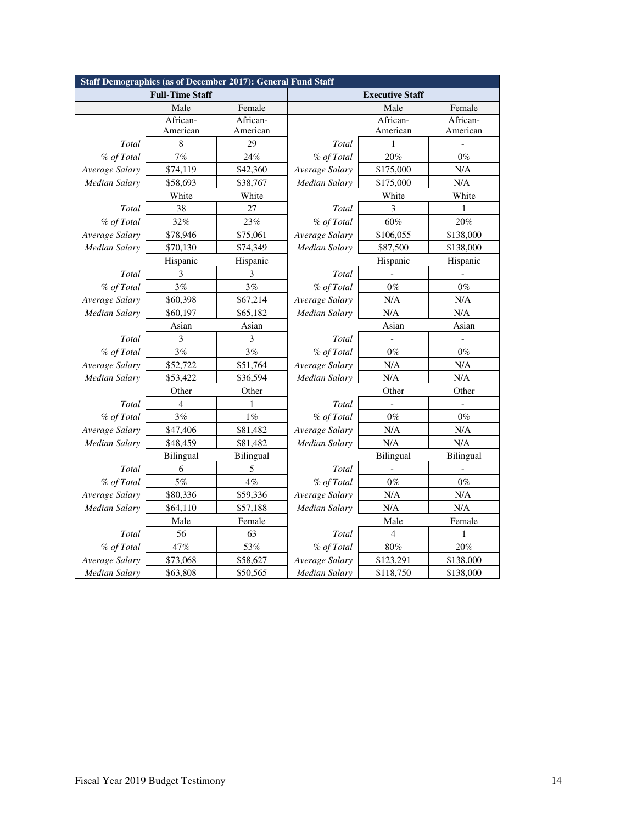|                      | <b>Staff Demographics (as of December 2017): General Fund Staff</b> |           |                             |                        |           |  |  |  |
|----------------------|---------------------------------------------------------------------|-----------|-----------------------------|------------------------|-----------|--|--|--|
|                      | <b>Full-Time Staff</b>                                              |           |                             | <b>Executive Staff</b> |           |  |  |  |
|                      | Male                                                                | Female    |                             | Male                   | Female    |  |  |  |
|                      | African-                                                            | African-  |                             | African-               | African-  |  |  |  |
|                      | American                                                            | American  | American                    |                        | American  |  |  |  |
| Total                | $\,$ 8 $\,$                                                         | 29        | Total                       | 1                      |           |  |  |  |
| % of Total           | $7\%$                                                               | 24%       | % of Total                  | 20%                    | $0\%$     |  |  |  |
| Average Salary       | \$74,119                                                            | \$42,360  | Average Salary              | \$175,000              | N/A       |  |  |  |
| <b>Median Salary</b> | \$58,693                                                            | \$38,767  | Median Salary               | \$175,000              | $\rm N/A$ |  |  |  |
|                      | White                                                               | White     |                             | White                  | White     |  |  |  |
| Total                | 38                                                                  | 27        | Total                       | 3                      | 1         |  |  |  |
| % of Total           | 32%                                                                 | 23%       | % of Total                  | 60%                    | $20\%$    |  |  |  |
| Average Salary       | \$78,946                                                            | \$75,061  | Average Salary              | \$106,055              | \$138,000 |  |  |  |
| <b>Median Salary</b> | \$70,130                                                            | \$74,349  | Median Salary               | \$87,500               | \$138,000 |  |  |  |
|                      | Hispanic                                                            | Hispanic  |                             | Hispanic               | Hispanic  |  |  |  |
| Total                | 3                                                                   | 3         | Total                       |                        |           |  |  |  |
| % of Total           | 3%                                                                  | 3%        | % of Total                  | $0\%$                  | $0\%$     |  |  |  |
| Average Salary       | \$60,398                                                            | \$67,214  | Average Salary<br>N/A       |                        | N/A       |  |  |  |
| <b>Median Salary</b> | \$60,197                                                            | \$65,182  | <b>Median Salary</b><br>N/A |                        | N/A       |  |  |  |
|                      | Asian                                                               | Asian     |                             | Asian                  |           |  |  |  |
| Total                | 3                                                                   | 3         | Total                       |                        |           |  |  |  |
| % of Total           | 3%                                                                  | 3%        | % of Total                  | $0\%$                  | $0\%$     |  |  |  |
| Average Salary       | \$52,722                                                            | \$51,764  | Average Salary              | N/A                    | N/A       |  |  |  |
| <b>Median Salary</b> | \$53,422                                                            | \$36,594  | Median Salary               | N/A                    | $\rm N/A$ |  |  |  |
|                      | Other                                                               | Other     |                             | Other                  | Other     |  |  |  |
| Total                | 4                                                                   | 1         | Total                       |                        |           |  |  |  |
| % of Total           | 3%                                                                  | 1%        | % of Total                  | $0\%$                  | $0\%$     |  |  |  |
| Average Salary       | \$47,406                                                            | \$81,482  | Average Salary              | N/A                    | N/A       |  |  |  |
| Median Salary        | \$48,459                                                            | \$81,482  | Median Salary               | N/A                    | N/A       |  |  |  |
|                      | Bilingual                                                           | Bilingual |                             | Bilingual              | Bilingual |  |  |  |
| Total                | 6                                                                   | 5         | Total                       |                        |           |  |  |  |
| % of Total           | 5%                                                                  | $4\%$     | % of Total                  | $0\%$                  | $0\%$     |  |  |  |
| Average Salary       | \$80,336                                                            | \$59,336  | Average Salary              | N/A                    | N/A       |  |  |  |
| <b>Median Salary</b> | \$64,110                                                            | \$57,188  | Median Salary               | N/A                    | N/A       |  |  |  |
|                      | Male                                                                | Female    |                             | Male                   | Female    |  |  |  |
| Total                | 56                                                                  | 63        | Total                       | $\overline{4}$         | 1         |  |  |  |
| % of Total           | 47%                                                                 | 53%       | % of Total                  | $80\%$                 | 20%       |  |  |  |
| Average Salary       | \$73,068                                                            | \$58,627  | Average Salary              | \$123,291              | \$138,000 |  |  |  |
| <b>Median Salary</b> | \$63,808                                                            | \$50,565  | Median Salary               | \$118,750              | \$138,000 |  |  |  |